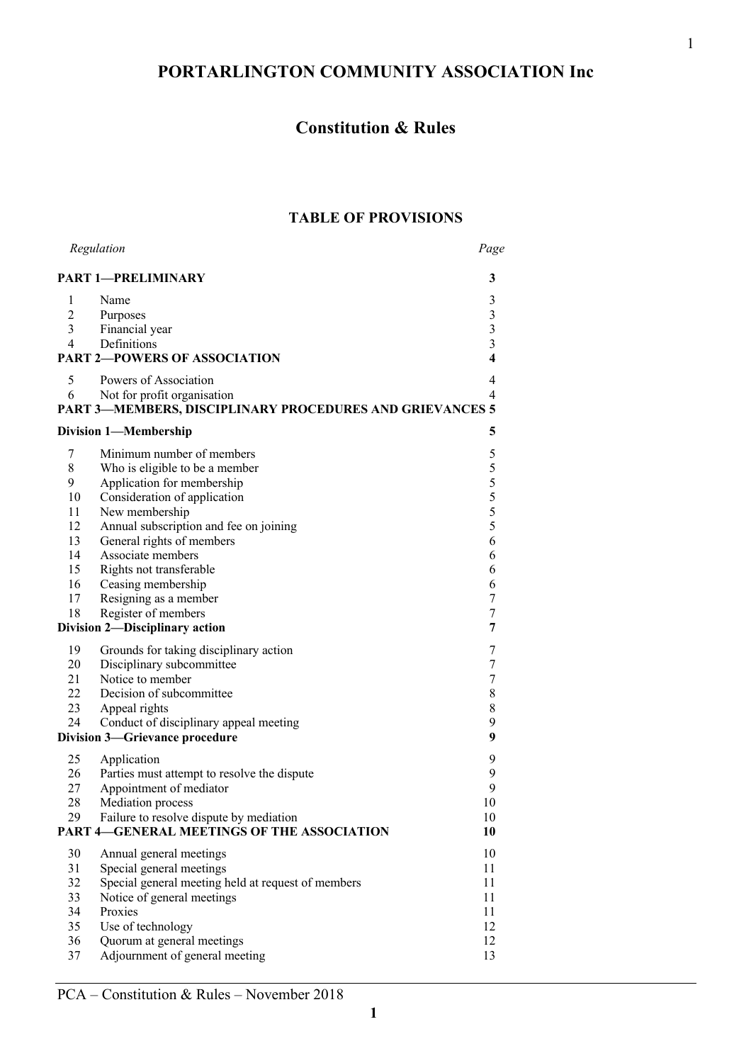# **PORTARLINGTON COMMUNITY ASSOCIATION Inc**

# **Constitution & Rules**

# **TABLE OF PROVISIONS**

|                                                         | Regulation                                               | Page                                       |  |
|---------------------------------------------------------|----------------------------------------------------------|--------------------------------------------|--|
| <b>PART 1-PRELIMINARY</b><br>3                          |                                                          |                                            |  |
| 1                                                       | Name                                                     | 3                                          |  |
| $\overline{c}$                                          | Purposes                                                 |                                            |  |
| 3                                                       | Financial year                                           | $\begin{array}{c} 3 \\ 3 \\ 3 \end{array}$ |  |
| 4                                                       | Definitions                                              |                                            |  |
| <b>PART 2-POWERS OF ASSOCIATION</b>                     |                                                          |                                            |  |
| 5                                                       | Powers of Association                                    | 4                                          |  |
| 6                                                       | Not for profit organisation                              | 4                                          |  |
|                                                         | PART 3-MEMBERS, DISCIPLINARY PROCEDURES AND GRIEVANCES 5 |                                            |  |
| 5<br><b>Division 1-Membership</b>                       |                                                          |                                            |  |
| 7                                                       | Minimum number of members                                | 5                                          |  |
| 8                                                       | Who is eligible to be a member                           |                                            |  |
| 9                                                       | Application for membership                               |                                            |  |
| 10                                                      | Consideration of application                             | 5555                                       |  |
| 11                                                      | New membership                                           |                                            |  |
| 12                                                      | Annual subscription and fee on joining                   |                                            |  |
| 13                                                      | General rights of members                                | 6                                          |  |
| 14                                                      | Associate members                                        | 6                                          |  |
| 15                                                      | Rights not transferable                                  | 6                                          |  |
| 16                                                      | Ceasing membership                                       | 6                                          |  |
| 17                                                      | Resigning as a member                                    | 7                                          |  |
| 18                                                      | Register of members                                      | $\boldsymbol{7}$                           |  |
| Division 2-Disciplinary action<br>7                     |                                                          |                                            |  |
| 19                                                      | Grounds for taking disciplinary action                   | 7                                          |  |
| 20                                                      | Disciplinary subcommittee                                | $\boldsymbol{7}$                           |  |
| 21                                                      | Notice to member                                         | $\boldsymbol{7}$                           |  |
| 22                                                      | Decision of subcommittee                                 | $\,$ $\,$                                  |  |
| 23                                                      | Appeal rights                                            | 8                                          |  |
| 24                                                      | Conduct of disciplinary appeal meeting                   | 9                                          |  |
| 9<br>Division 3-Grievance procedure                     |                                                          |                                            |  |
| 25                                                      | Application                                              | 9                                          |  |
| 26                                                      | Parties must attempt to resolve the dispute              | 9                                          |  |
| 27                                                      | Appointment of mediator                                  | 9                                          |  |
| 28                                                      | Mediation process                                        | 10                                         |  |
| 29                                                      | Failure to resolve dispute by mediation                  | 10                                         |  |
| <b>PART 4-GENERAL MEETINGS OF THE ASSOCIATION</b><br>10 |                                                          |                                            |  |
| 30                                                      | Annual general meetings                                  | 10                                         |  |
| 31                                                      | Special general meetings                                 | 11                                         |  |
| 32                                                      | Special general meeting held at request of members       | 11                                         |  |
| 33                                                      | Notice of general meetings                               | 11                                         |  |
| 34                                                      | Proxies                                                  | 11                                         |  |
| 35                                                      | Use of technology                                        | 12                                         |  |
| 36                                                      | Quorum at general meetings                               | 12                                         |  |
| 37                                                      | Adjournment of general meeting                           | 13                                         |  |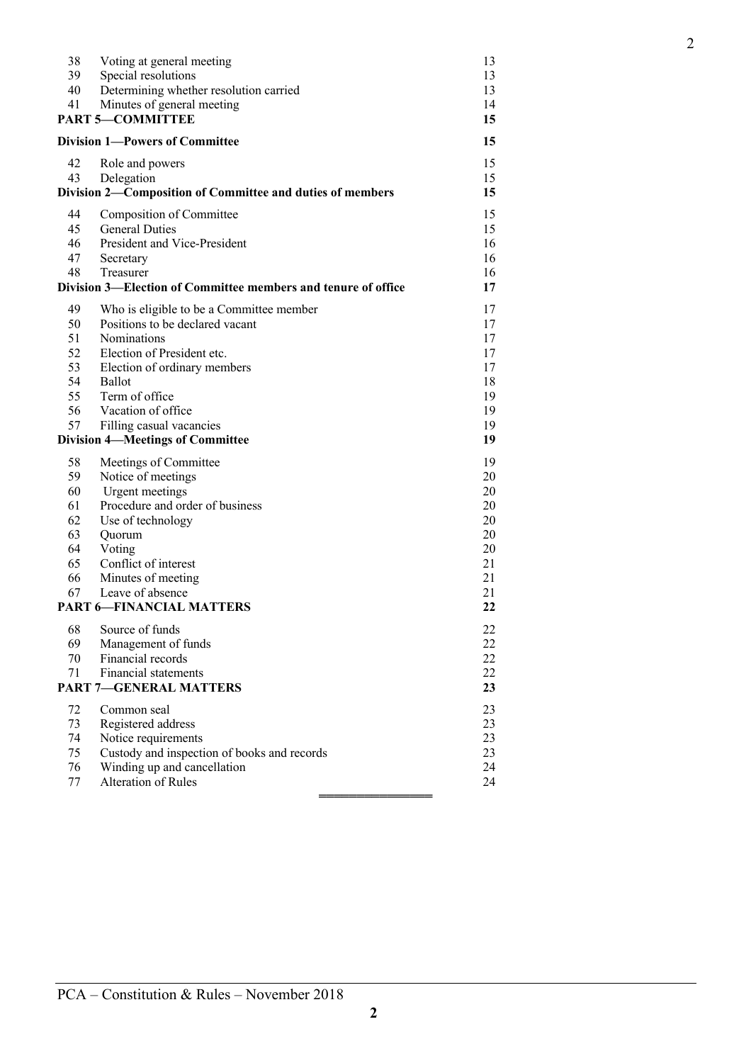| 38<br>39<br>40 | Voting at general meeting<br>Special resolutions<br>Determining whether resolution carried | 13<br>13<br>13 |
|----------------|--------------------------------------------------------------------------------------------|----------------|
| 41             | Minutes of general meeting                                                                 | 14             |
|                | <b>PART 5-COMMITTEE</b>                                                                    | 15             |
|                | <b>Division 1—Powers of Committee</b>                                                      | 15             |
| 42             | Role and powers                                                                            | 15             |
| 43             | Delegation                                                                                 | 15             |
|                | Division 2-Composition of Committee and duties of members                                  | 15             |
| 44             | Composition of Committee                                                                   | 15             |
| 45             | <b>General Duties</b>                                                                      | 15             |
| 46             | President and Vice-President                                                               | 16             |
| 47             | Secretary                                                                                  | 16             |
| 48             | Treasurer                                                                                  | 16             |
|                | Division 3—Election of Committee members and tenure of office                              | 17             |
| 49             | Who is eligible to be a Committee member                                                   | 17             |
| 50             | Positions to be declared vacant                                                            | 17             |
| 51             | Nominations                                                                                | 17             |
| 52             | Election of President etc.                                                                 | 17             |
| 53             | Election of ordinary members                                                               | 17             |
| 54<br>55       | Ballot<br>Term of office                                                                   | 18<br>19       |
| 56             | Vacation of office                                                                         | 19             |
| 57             | Filling casual vacancies                                                                   | 19             |
|                | <b>Division 4-Meetings of Committee</b>                                                    | 19             |
| 58             | Meetings of Committee                                                                      | 19             |
| 59             | Notice of meetings                                                                         | 20             |
| 60             | Urgent meetings                                                                            | 20             |
| 61             | Procedure and order of business                                                            | 20             |
| 62             | Use of technology                                                                          | 20             |
| 63             | Quorum                                                                                     | 20             |
| 64             | Voting                                                                                     | 20             |
| 65             | Conflict of interest                                                                       | 21             |
| 66             | Minutes of meeting                                                                         | 21             |
| 67             | Leave of absence                                                                           | 21             |
|                | <b>PART 6-FINANCIAL MATTERS</b>                                                            | 22             |
| 68             | Source of funds                                                                            | 22             |
| 69             | Management of funds                                                                        | 22             |
| 70             | Financial records                                                                          | 22             |
| 71             | <b>Financial statements</b>                                                                | 22             |
|                | <b>PART 7-GENERAL MATTERS</b>                                                              | 23             |
| 72             | Common seal                                                                                | 23             |
| 73             | Registered address                                                                         | 23             |
| 74             | Notice requirements                                                                        | 23             |
| 75             | Custody and inspection of books and records                                                | 23             |
| 76             | Winding up and cancellation                                                                | 24             |
| 77             | Alteration of Rules                                                                        | 24             |
|                |                                                                                            |                |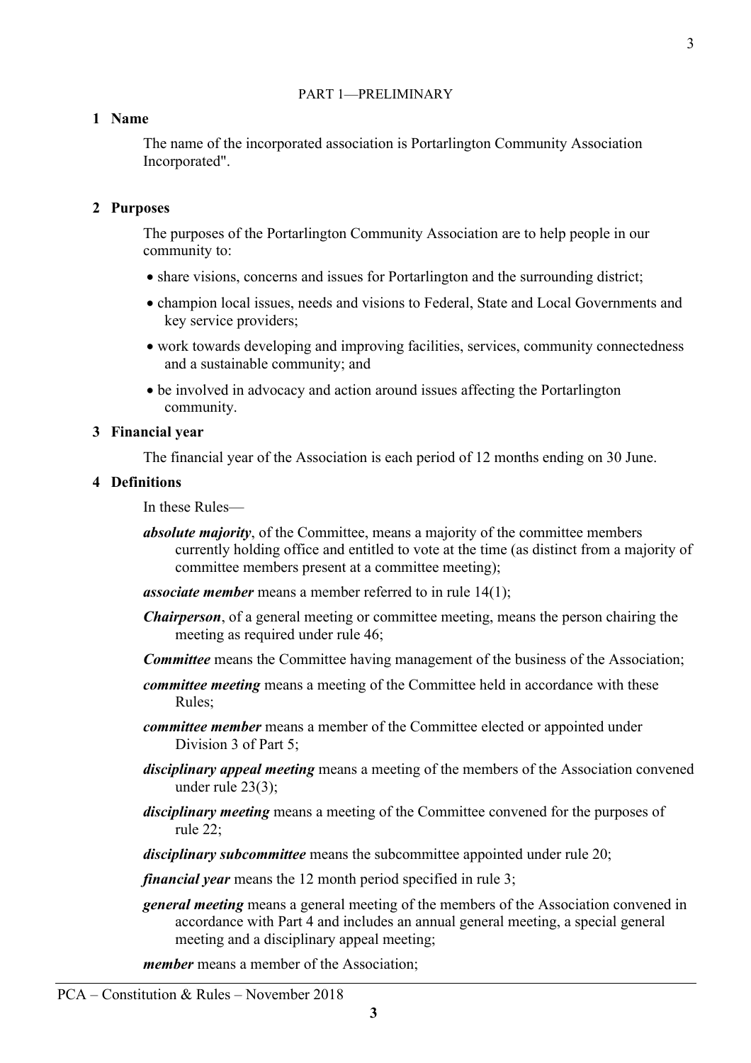### PART 1—PRELIMINARY

### **1 Name**

The name of the incorporated association is Portarlington Community Association Incorporated".

#### **2 Purposes**

The purposes of the Portarlington Community Association are to help people in our community to:

- share visions, concerns and issues for Portarlington and the surrounding district;
- champion local issues, needs and visions to Federal, State and Local Governments and key service providers;
- work towards developing and improving facilities, services, community connectedness and a sustainable community; and
- be involved in advocacy and action around issues affecting the Portarlington community.

#### **3 Financial year**

The financial year of the Association is each period of 12 months ending on 30 June.

#### **4 Definitions**

In these Rules—

*absolute majority*, of the Committee, means a majority of the committee members currently holding office and entitled to vote at the time (as distinct from a majority of committee members present at a committee meeting);

*associate member* means a member referred to in rule 14(1);

- *Chairperson*, of a general meeting or committee meeting, means the person chairing the meeting as required under rule 46;
- *Committee* means the Committee having management of the business of the Association;
- *committee meeting* means a meeting of the Committee held in accordance with these Rules;
- *committee member* means a member of the Committee elected or appointed under Division 3 of Part 5;
- *disciplinary appeal meeting* means a meeting of the members of the Association convened under rule 23(3);
- *disciplinary meeting* means a meeting of the Committee convened for the purposes of rule 22;

*disciplinary subcommittee* means the subcommittee appointed under rule 20;

*financial year* means the 12 month period specified in rule 3;

*general meeting* means a general meeting of the members of the Association convened in accordance with Part 4 and includes an annual general meeting, a special general meeting and a disciplinary appeal meeting;

*member* means a member of the Association;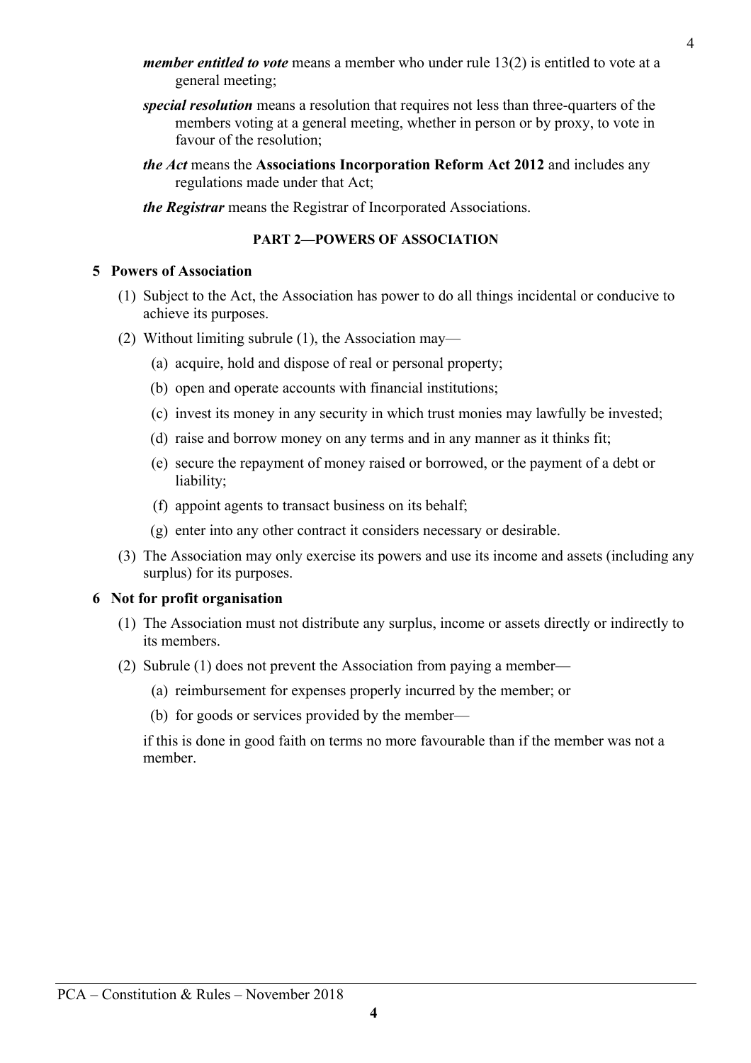- *member entitled to vote* means a member who under rule 13(2) is entitled to vote at a general meeting;
	- *special resolution* means a resolution that requires not less than three-quarters of the members voting at a general meeting, whether in person or by proxy, to vote in favour of the resolution;
	- *the Act* means the **Associations Incorporation Reform Act 2012** and includes any regulations made under that Act;
	- *the Registrar* means the Registrar of Incorporated Associations.

#### **PART 2—POWERS OF ASSOCIATION**

### **5 Powers of Association**

- (1) Subject to the Act, the Association has power to do all things incidental or conducive to achieve its purposes.
- (2) Without limiting subrule (1), the Association may—
	- (a) acquire, hold and dispose of real or personal property;
	- (b) open and operate accounts with financial institutions;
	- (c) invest its money in any security in which trust monies may lawfully be invested;
	- (d) raise and borrow money on any terms and in any manner as it thinks fit;
	- (e) secure the repayment of money raised or borrowed, or the payment of a debt or liability;
	- (f) appoint agents to transact business on its behalf;
	- (g) enter into any other contract it considers necessary or desirable.
- (3) The Association may only exercise its powers and use its income and assets (including any surplus) for its purposes.

### **6 Not for profit organisation**

- (1) The Association must not distribute any surplus, income or assets directly or indirectly to its members.
- (2) Subrule (1) does not prevent the Association from paying a member—
	- (a) reimbursement for expenses properly incurred by the member; or
	- (b) for goods or services provided by the member—

if this is done in good faith on terms no more favourable than if the member was not a member.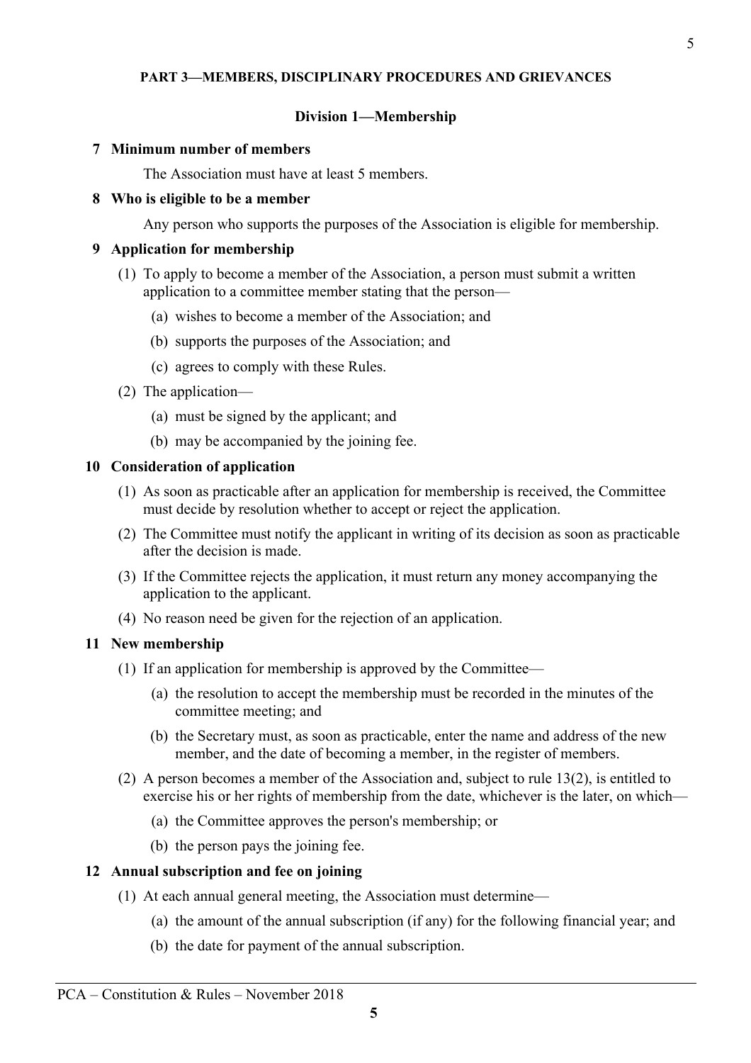#### **PART 3—MEMBERS, DISCIPLINARY PROCEDURES AND GRIEVANCES**

#### **Division 1—Membership**

#### **7 Minimum number of members**

The Association must have at least 5 members.

#### **8 Who is eligible to be a member**

Any person who supports the purposes of the Association is eligible for membership.

#### **9 Application for membership**

- (1) To apply to become a member of the Association, a person must submit a written application to a committee member stating that the person—
	- (a) wishes to become a member of the Association; and
	- (b) supports the purposes of the Association; and
	- (c) agrees to comply with these Rules.
- (2) The application—
	- (a) must be signed by the applicant; and
	- (b) may be accompanied by the joining fee.

#### **10 Consideration of application**

- (1) As soon as practicable after an application for membership is received, the Committee must decide by resolution whether to accept or reject the application.
- (2) The Committee must notify the applicant in writing of its decision as soon as practicable after the decision is made.
- (3) If the Committee rejects the application, it must return any money accompanying the application to the applicant.
- (4) No reason need be given for the rejection of an application.

#### **11 New membership**

- (1) If an application for membership is approved by the Committee—
	- (a) the resolution to accept the membership must be recorded in the minutes of the committee meeting; and
	- (b) the Secretary must, as soon as practicable, enter the name and address of the new member, and the date of becoming a member, in the register of members.
- (2) A person becomes a member of the Association and, subject to rule 13(2), is entitled to exercise his or her rights of membership from the date, whichever is the later, on which—
	- (a) the Committee approves the person's membership; or
	- (b) the person pays the joining fee.

#### **12 Annual subscription and fee on joining**

- (1) At each annual general meeting, the Association must determine—
	- (a) the amount of the annual subscription (if any) for the following financial year; and
	- (b) the date for payment of the annual subscription.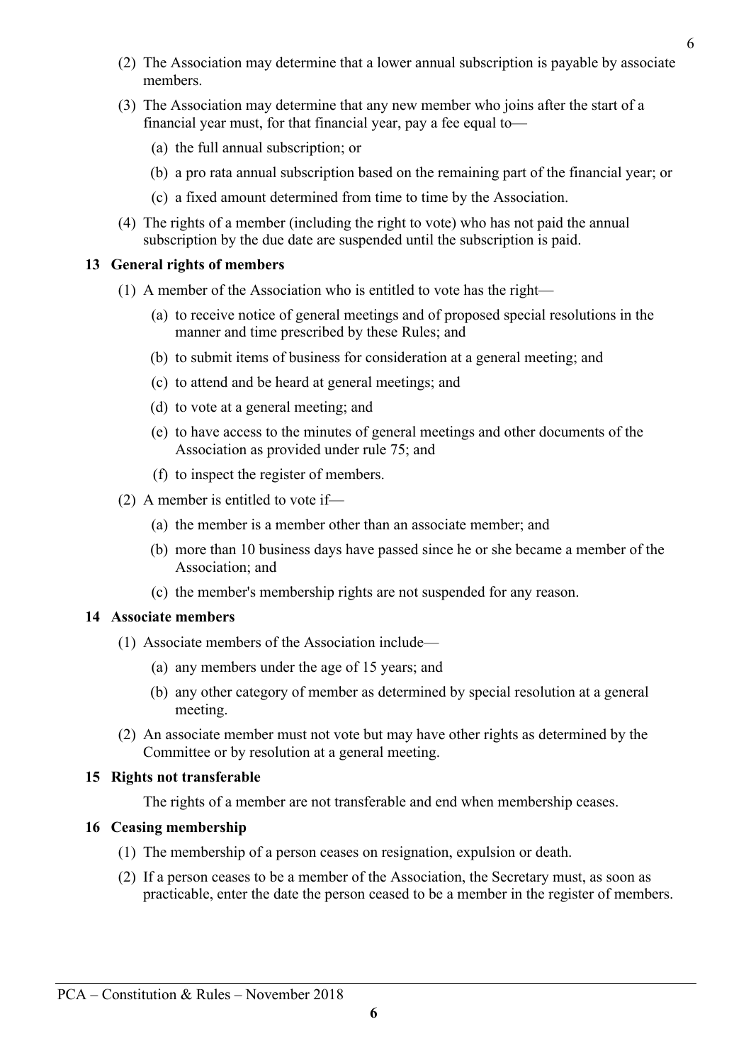- Committee or by resolution at a general meeting.
	- **15 Rights not transferable**

meeting.

The rights of a member are not transferable and end when membership ceases.

(2) An associate member must not vote but may have other rights as determined by the

#### **16 Ceasing membership**

- (1) The membership of a person ceases on resignation, expulsion or death.
- (2) If a person ceases to be a member of the Association, the Secretary must, as soon as practicable, enter the date the person ceased to be a member in the register of members.

- **6**
- 

- (b) more than 10 business days have passed since he or she became a member of the Association; and
- (c) the member's membership rights are not suspended for any reason.

#### **14 Associate members**

members.

**13 General rights of members**

- (1) Associate members of the Association include—
	-
	- (a) any members under the age of 15 years; and (b) any other category of member as determined by special resolution at a general

(e) to have access to the minutes of general meetings and other documents of the Association as provided under rule 75; and

(b) to submit items of business for consideration at a general meeting; and

(2) The Association may determine that a lower annual subscription is payable by associate

(b) a pro rata annual subscription based on the remaining part of the financial year; or

(a) to receive notice of general meetings and of proposed special resolutions in the

(3) The Association may determine that any new member who joins after the start of a

financial year must, for that financial year, pay a fee equal to—

(1) A member of the Association who is entitled to vote has the right—

manner and time prescribed by these Rules; and

(c) to attend and be heard at general meetings; and

(c) a fixed amount determined from time to time by the Association.

(4) The rights of a member (including the right to vote) who has not paid the annual subscription by the due date are suspended until the subscription is paid.

- 
- (f) to inspect the register of members.
- 
- (2) A member is entitled to vote if—

(d) to vote at a general meeting; and

(a) the full annual subscription; or

- 
- 
- (a) the member is a member other than an associate member; and
- 
-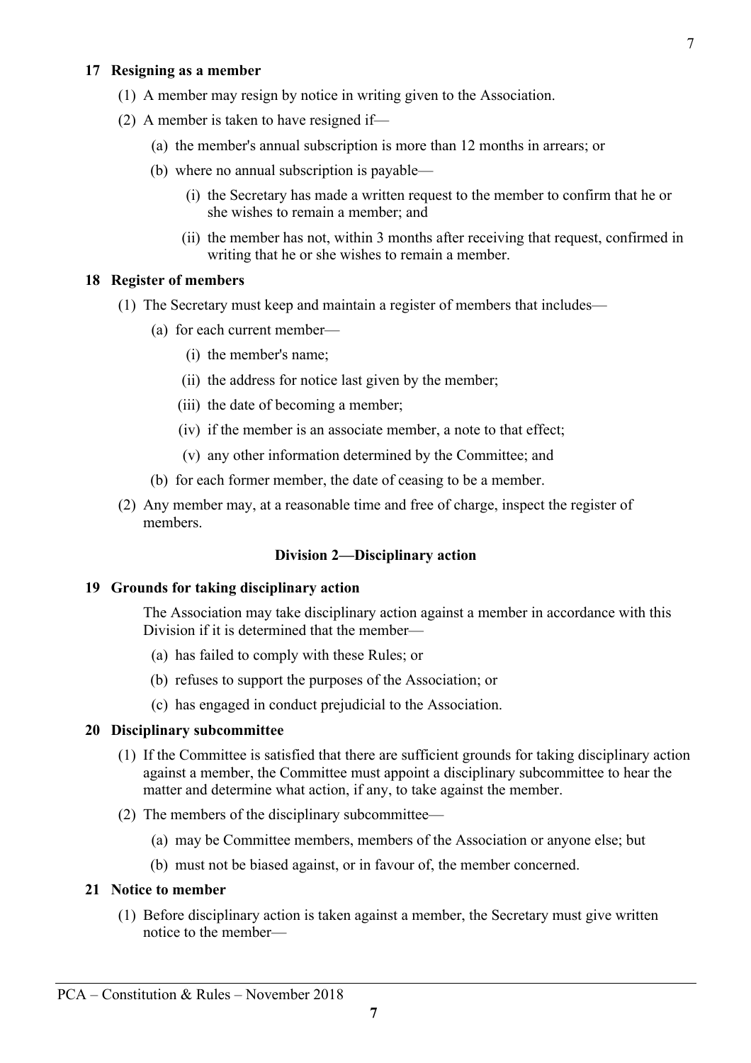#### **17 Resigning as a member**

- (1) A member may resign by notice in writing given to the Association.
- (2) A member is taken to have resigned if—
	- (a) the member's annual subscription is more than 12 months in arrears; or
	- (b) where no annual subscription is payable—
		- (i) the Secretary has made a written request to the member to confirm that he or she wishes to remain a member; and
		- (ii) the member has not, within 3 months after receiving that request, confirmed in writing that he or she wishes to remain a member.

#### **18 Register of members**

- (1) The Secretary must keep and maintain a register of members that includes—
	- (a) for each current member—
		- (i) the member's name;
		- (ii) the address for notice last given by the member;
		- (iii) the date of becoming a member;
		- (iv) if the member is an associate member, a note to that effect;
		- (v) any other information determined by the Committee; and
	- (b) for each former member, the date of ceasing to be a member.
- (2) Any member may, at a reasonable time and free of charge, inspect the register of members.

### **Division 2—Disciplinary action**

#### **19 Grounds for taking disciplinary action**

The Association may take disciplinary action against a member in accordance with this Division if it is determined that the member—

- (a) has failed to comply with these Rules; or
- (b) refuses to support the purposes of the Association; or
- (c) has engaged in conduct prejudicial to the Association.

#### **20 Disciplinary subcommittee**

- (1) If the Committee is satisfied that there are sufficient grounds for taking disciplinary action against a member, the Committee must appoint a disciplinary subcommittee to hear the matter and determine what action, if any, to take against the member.
- (2) The members of the disciplinary subcommittee—
	- (a) may be Committee members, members of the Association or anyone else; but
	- (b) must not be biased against, or in favour of, the member concerned.

#### **21 Notice to member**

(1) Before disciplinary action is taken against a member, the Secretary must give written notice to the member—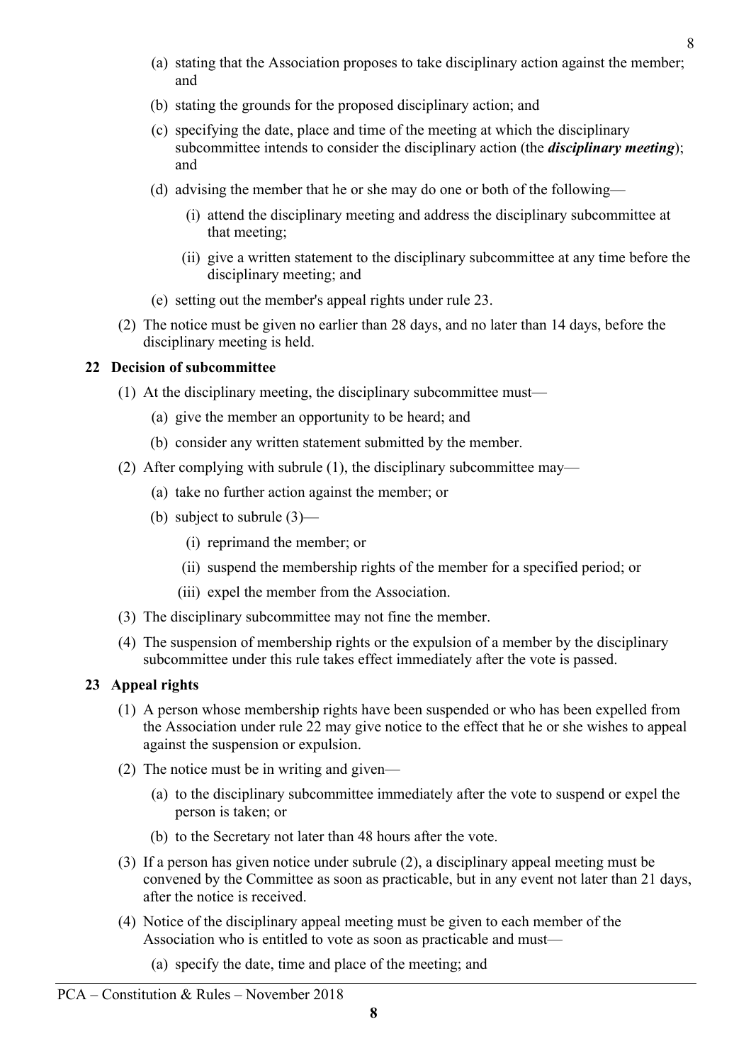- (a) stating that the Association proposes to take disciplinary action against the member; and
- (b) stating the grounds for the proposed disciplinary action; and
- (c) specifying the date, place and time of the meeting at which the disciplinary subcommittee intends to consider the disciplinary action (the *disciplinary meeting*); and
- (d) advising the member that he or she may do one or both of the following—
	- (i) attend the disciplinary meeting and address the disciplinary subcommittee at that meeting;
	- (ii) give a written statement to the disciplinary subcommittee at any time before the disciplinary meeting; and
- (e) setting out the member's appeal rights under rule 23.
- (2) The notice must be given no earlier than 28 days, and no later than 14 days, before the disciplinary meeting is held.

# **22 Decision of subcommittee**

- (1) At the disciplinary meeting, the disciplinary subcommittee must—
	- (a) give the member an opportunity to be heard; and
	- (b) consider any written statement submitted by the member.
- (2) After complying with subrule (1), the disciplinary subcommittee may—
	- (a) take no further action against the member; or
	- (b) subject to subrule (3)—
		- (i) reprimand the member; or
		- (ii) suspend the membership rights of the member for a specified period; or
		- (iii) expel the member from the Association.
- (3) The disciplinary subcommittee may not fine the member.
- (4) The suspension of membership rights or the expulsion of a member by the disciplinary subcommittee under this rule takes effect immediately after the vote is passed.

# **23 Appeal rights**

- (1) A person whose membership rights have been suspended or who has been expelled from the Association under rule 22 may give notice to the effect that he or she wishes to appeal against the suspension or expulsion.
- (2) The notice must be in writing and given—
	- (a) to the disciplinary subcommittee immediately after the vote to suspend or expel the person is taken; or
	- (b) to the Secretary not later than 48 hours after the vote.
- (3) If a person has given notice under subrule (2), a disciplinary appeal meeting must be convened by the Committee as soon as practicable, but in any event not later than 21 days, after the notice is received.
- (4) Notice of the disciplinary appeal meeting must be given to each member of the Association who is entitled to vote as soon as practicable and must—
	- (a) specify the date, time and place of the meeting; and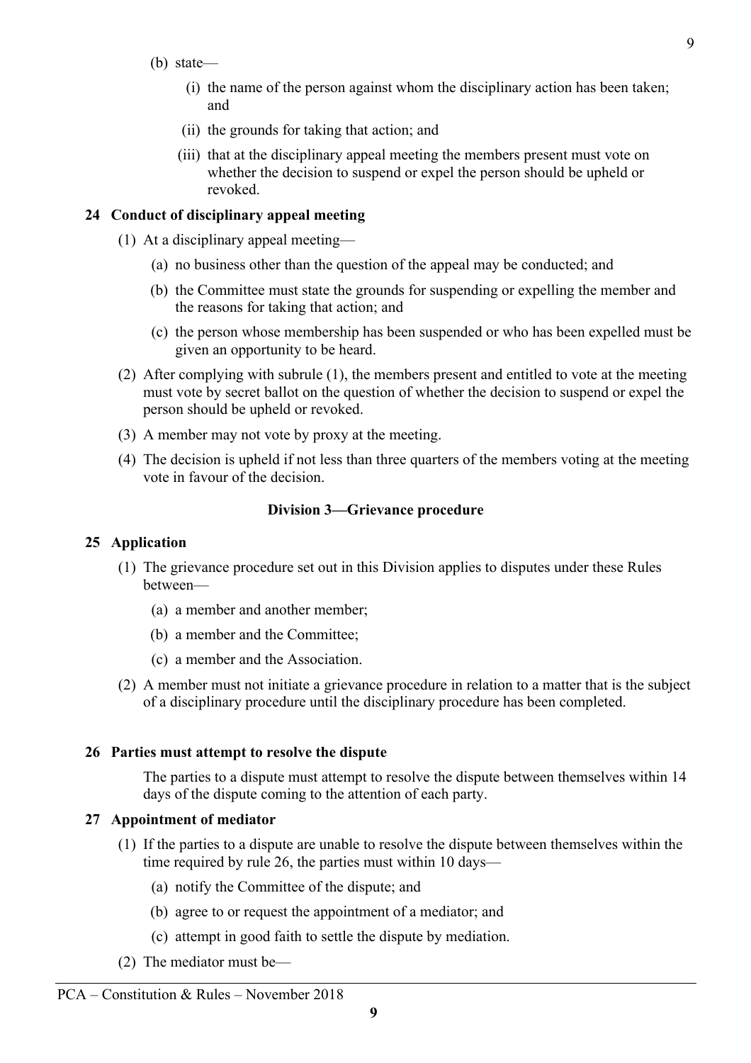- (b) state—
	- (i) the name of the person against whom the disciplinary action has been taken; and
	- (ii) the grounds for taking that action; and
	- (iii) that at the disciplinary appeal meeting the members present must vote on whether the decision to suspend or expel the person should be upheld or revoked.

# **24 Conduct of disciplinary appeal meeting**

- (1) At a disciplinary appeal meeting—
	- (a) no business other than the question of the appeal may be conducted; and
	- (b) the Committee must state the grounds for suspending or expelling the member and the reasons for taking that action; and
	- (c) the person whose membership has been suspended or who has been expelled must be given an opportunity to be heard.
- (2) After complying with subrule (1), the members present and entitled to vote at the meeting must vote by secret ballot on the question of whether the decision to suspend or expel the person should be upheld or revoked.
- (3) A member may not vote by proxy at the meeting.
- (4) The decision is upheld if not less than three quarters of the members voting at the meeting vote in favour of the decision.

#### **Division 3—Grievance procedure**

### **25 Application**

- (1) The grievance procedure set out in this Division applies to disputes under these Rules between—
	- (a) a member and another member;
	- (b) a member and the Committee;
	- (c) a member and the Association.
- (2) A member must not initiate a grievance procedure in relation to a matter that is the subject of a disciplinary procedure until the disciplinary procedure has been completed.

#### **26 Parties must attempt to resolve the dispute**

The parties to a dispute must attempt to resolve the dispute between themselves within 14 days of the dispute coming to the attention of each party.

#### **27 Appointment of mediator**

- (1) If the parties to a dispute are unable to resolve the dispute between themselves within the time required by rule 26, the parties must within 10 days—
	- (a) notify the Committee of the dispute; and
	- (b) agree to or request the appointment of a mediator; and
	- (c) attempt in good faith to settle the dispute by mediation.
- (2) The mediator must be—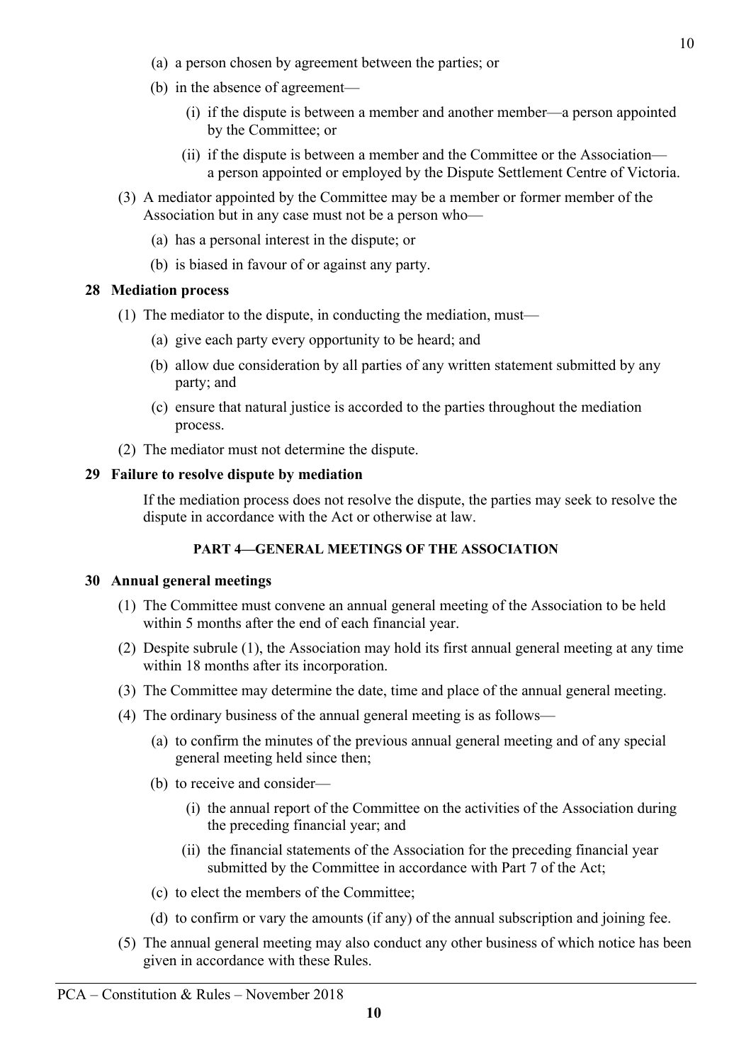- (a) a person chosen by agreement between the parties; or
- (b) in the absence of agreement—
	- (i) if the dispute is between a member and another member—a person appointed by the Committee; or
	- (ii) if the dispute is between a member and the Committee or the Association a person appointed or employed by the Dispute Settlement Centre of Victoria.
- (3) A mediator appointed by the Committee may be a member or former member of the Association but in any case must not be a person who—
	- (a) has a personal interest in the dispute; or
	- (b) is biased in favour of or against any party.

#### **28 Mediation process**

- (1) The mediator to the dispute, in conducting the mediation, must—
	- (a) give each party every opportunity to be heard; and
	- (b) allow due consideration by all parties of any written statement submitted by any party; and
	- (c) ensure that natural justice is accorded to the parties throughout the mediation process.
- (2) The mediator must not determine the dispute.

#### **29 Failure to resolve dispute by mediation**

If the mediation process does not resolve the dispute, the parties may seek to resolve the dispute in accordance with the Act or otherwise at law.

# **PART 4—GENERAL MEETINGS OF THE ASSOCIATION**

#### **30 Annual general meetings**

- (1) The Committee must convene an annual general meeting of the Association to be held within 5 months after the end of each financial year.
- (2) Despite subrule (1), the Association may hold its first annual general meeting at any time within 18 months after its incorporation.
- (3) The Committee may determine the date, time and place of the annual general meeting.
- (4) The ordinary business of the annual general meeting is as follows—
	- (a) to confirm the minutes of the previous annual general meeting and of any special general meeting held since then;
	- (b) to receive and consider—
		- (i) the annual report of the Committee on the activities of the Association during the preceding financial year; and
		- (ii) the financial statements of the Association for the preceding financial year submitted by the Committee in accordance with Part 7 of the Act;
	- (c) to elect the members of the Committee;
	- (d) to confirm or vary the amounts (if any) of the annual subscription and joining fee.
- (5) The annual general meeting may also conduct any other business of which notice has been given in accordance with these Rules.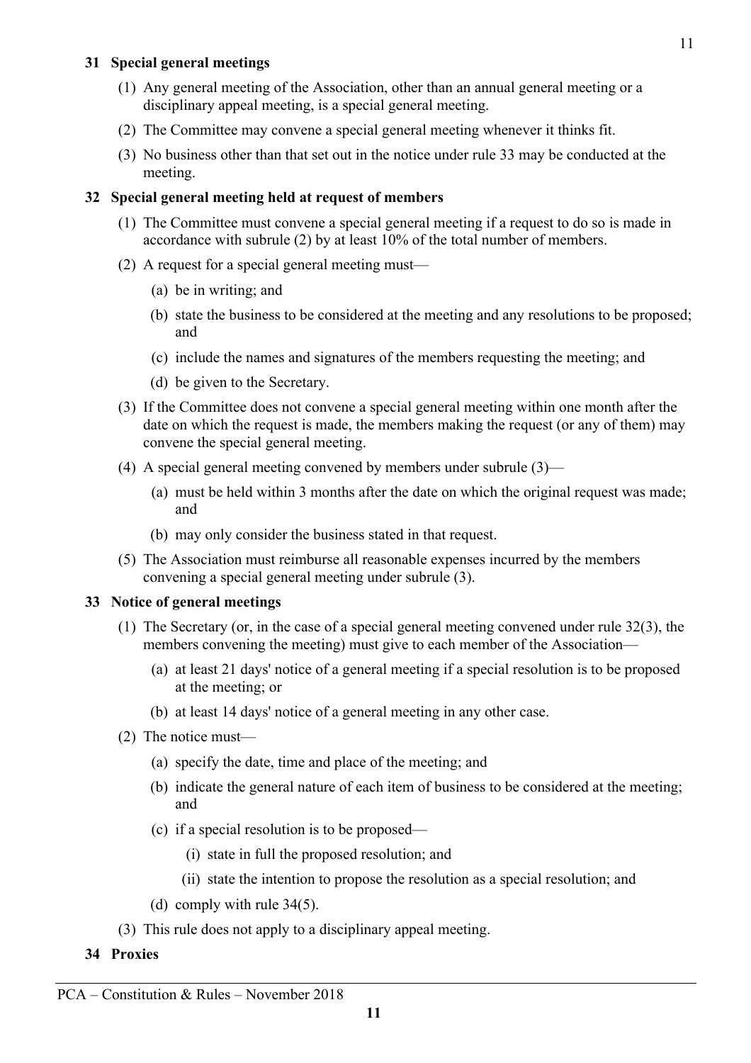# **31 Special general meetings**

- (1) Any general meeting of the Association, other than an annual general meeting or a disciplinary appeal meeting, is a special general meeting.
- (2) The Committee may convene a special general meeting whenever it thinks fit.
- (3) No business other than that set out in the notice under rule 33 may be conducted at the meeting.

# **32 Special general meeting held at request of members**

- (1) The Committee must convene a special general meeting if a request to do so is made in accordance with subrule (2) by at least 10% of the total number of members.
- (2) A request for a special general meeting must—
	- (a) be in writing; and
	- (b) state the business to be considered at the meeting and any resolutions to be proposed; and
	- (c) include the names and signatures of the members requesting the meeting; and
	- (d) be given to the Secretary.
- (3) If the Committee does not convene a special general meeting within one month after the date on which the request is made, the members making the request (or any of them) may convene the special general meeting.
- (4) A special general meeting convened by members under subrule (3)—
	- (a) must be held within 3 months after the date on which the original request was made; and
	- (b) may only consider the business stated in that request.
- (5) The Association must reimburse all reasonable expenses incurred by the members convening a special general meeting under subrule (3).

# **33 Notice of general meetings**

- (1) The Secretary (or, in the case of a special general meeting convened under rule 32(3), the members convening the meeting) must give to each member of the Association—
	- (a) at least 21 days' notice of a general meeting if a special resolution is to be proposed at the meeting; or
	- (b) at least 14 days' notice of a general meeting in any other case.
- (2) The notice must—
	- (a) specify the date, time and place of the meeting; and
	- (b) indicate the general nature of each item of business to be considered at the meeting; and
	- (c) if a special resolution is to be proposed—
		- (i) state in full the proposed resolution; and
		- (ii) state the intention to propose the resolution as a special resolution; and
	- (d) comply with rule 34(5).
- (3) This rule does not apply to a disciplinary appeal meeting.
- **34 Proxies**

11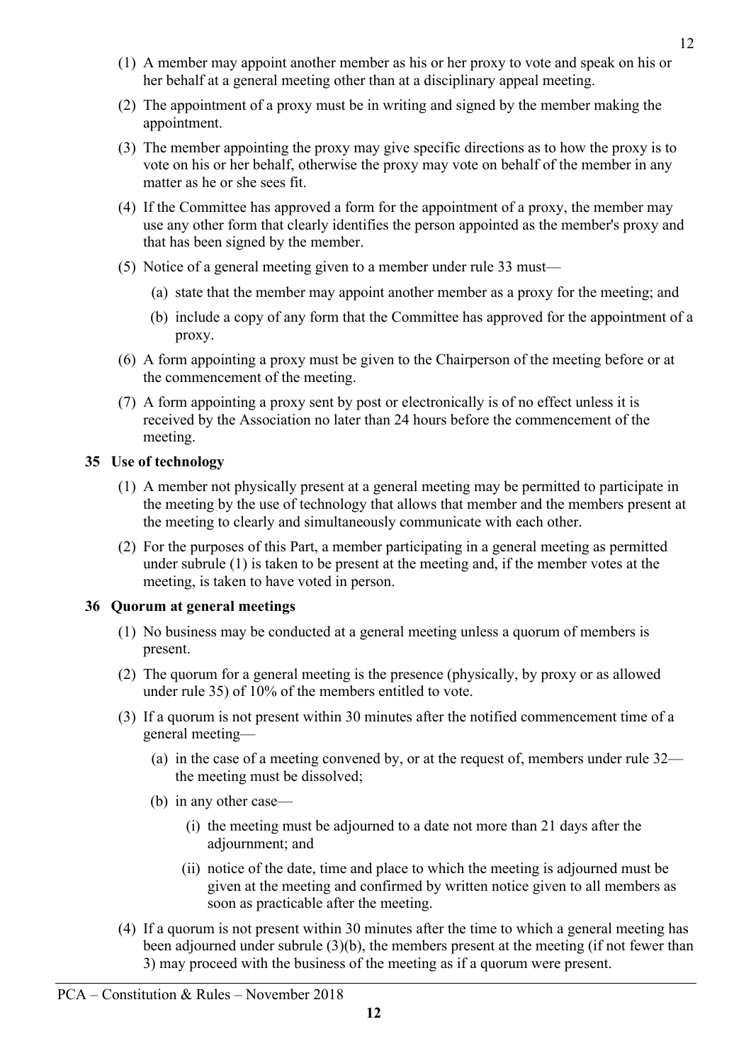- 
- PCA Constitution & Rules November 2018
- (1) A member may appoint another member as his or her proxy to vote and speak on his or her behalf at a general meeting other than at a disciplinary appeal meeting.
- (2) The appointment of a proxy must be in writing and signed by the member making the appointment.
- (3) The member appointing the proxy may give specific directions as to how the proxy is to vote on his or her behalf, otherwise the proxy may vote on behalf of the member in any matter as he or she sees fit.
- (4) If the Committee has approved a form for the appointment of a proxy, the member may use any other form that clearly identifies the person appointed as the member's proxy and that has been signed by the member.
- (5) Notice of a general meeting given to a member under rule 33 must—
	- (a) state that the member may appoint another member as a proxy for the meeting; and
	- (b) include a copy of any form that the Committee has approved for the appointment of a proxy.
- (6) A form appointing a proxy must be given to the Chairperson of the meeting before or at the commencement of the meeting.
- (7) A form appointing a proxy sent by post or electronically is of no effect unless it is received by the Association no later than 24 hours before the commencement of the meeting.

# **35 Use of technology**

- (1) A member not physically present at a general meeting may be permitted to participate in the meeting by the use of technology that allows that member and the members present at the meeting to clearly and simultaneously communicate with each other.
- (2) For the purposes of this Part, a member participating in a general meeting as permitted under subrule (1) is taken to be present at the meeting and, if the member votes at the meeting, is taken to have voted in person.

# **36 Quorum at general meetings**

- (1) No business may be conducted at a general meeting unless a quorum of members is present.
- (2) The quorum for a general meeting is the presence (physically, by proxy or as allowed under rule 35) of 10% of the members entitled to vote.
- (3) If a quorum is not present within 30 minutes after the notified commencement time of a general meeting—
	- (a) in the case of a meeting convened by, or at the request of, members under rule 32 the meeting must be dissolved;
	- (b) in any other case—
		- (i) the meeting must be adjourned to a date not more than 21 days after the adjournment; and
		- (ii) notice of the date, time and place to which the meeting is adjourned must be given at the meeting and confirmed by written notice given to all members as soon as practicable after the meeting.
- (4) If a quorum is not present within 30 minutes after the time to which a general meeting has been adjourned under subrule (3)(b), the members present at the meeting (if not fewer than 3) may proceed with the business of the meeting as if a quorum were present.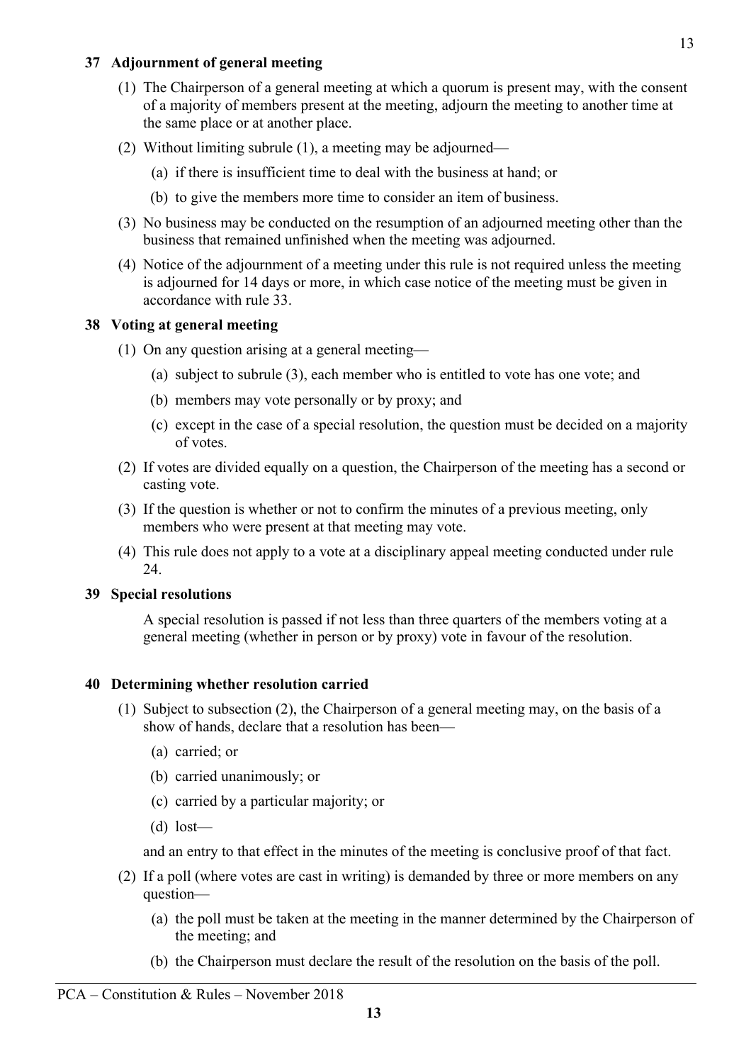# **37 Adjournment of general meeting**

- (1) The Chairperson of a general meeting at which a quorum is present may, with the consent of a majority of members present at the meeting, adjourn the meeting to another time at the same place or at another place.
- (2) Without limiting subrule (1), a meeting may be adjourned—
	- (a) if there is insufficient time to deal with the business at hand; or
	- (b) to give the members more time to consider an item of business.
- (3) No business may be conducted on the resumption of an adjourned meeting other than the business that remained unfinished when the meeting was adjourned.
- (4) Notice of the adjournment of a meeting under this rule is not required unless the meeting is adjourned for 14 days or more, in which case notice of the meeting must be given in accordance with rule 33.

# **38 Voting at general meeting**

- (1) On any question arising at a general meeting—
	- (a) subject to subrule (3), each member who is entitled to vote has one vote; and
	- (b) members may vote personally or by proxy; and
	- (c) except in the case of a special resolution, the question must be decided on a majority of votes.
- (2) If votes are divided equally on a question, the Chairperson of the meeting has a second or casting vote.
- (3) If the question is whether or not to confirm the minutes of a previous meeting, only members who were present at that meeting may vote.
- (4) This rule does not apply to a vote at a disciplinary appeal meeting conducted under rule 24.

### **39 Special resolutions**

A special resolution is passed if not less than three quarters of the members voting at a general meeting (whether in person or by proxy) vote in favour of the resolution.

# **40 Determining whether resolution carried**

- (1) Subject to subsection (2), the Chairperson of a general meeting may, on the basis of a show of hands, declare that a resolution has been—
	- (a) carried; or
	- (b) carried unanimously; or
	- (c) carried by a particular majority; or
	- (d) lost—

and an entry to that effect in the minutes of the meeting is conclusive proof of that fact.

- (2) If a poll (where votes are cast in writing) is demanded by three or more members on any question—
	- (a) the poll must be taken at the meeting in the manner determined by the Chairperson of the meeting; and
	- (b) the Chairperson must declare the result of the resolution on the basis of the poll.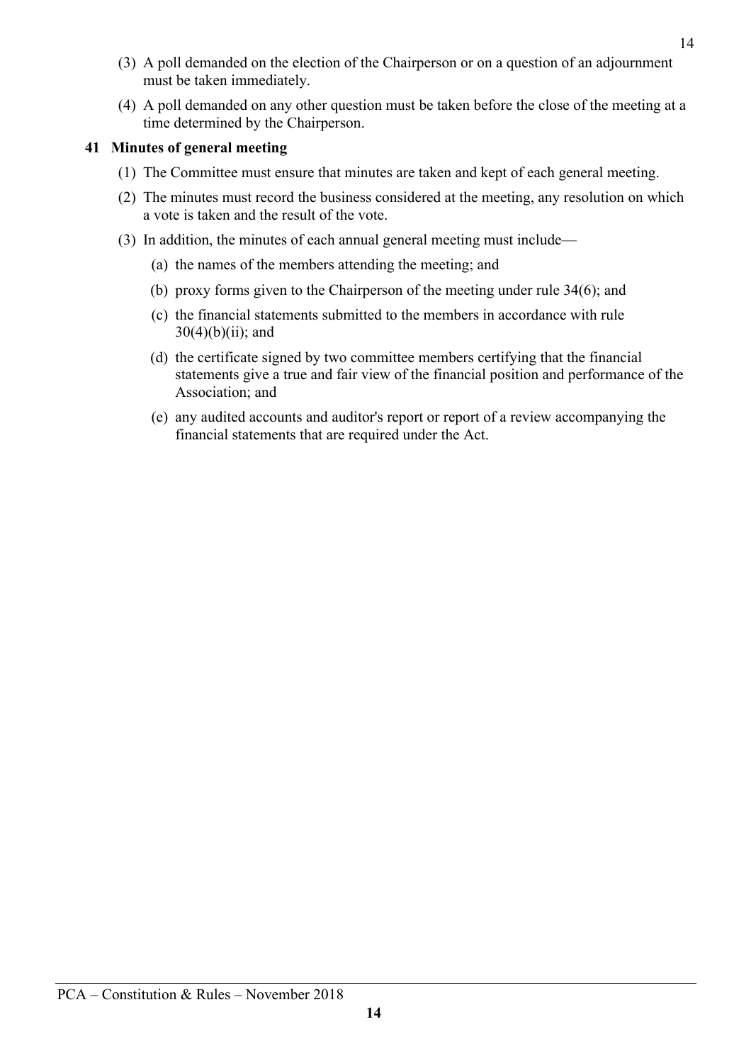- (3) A poll demanded on the election of the Chairperson or on a question of an adjournment must be taken immediately.
- (4) A poll demanded on any other question must be taken before the close of the meeting at a time determined by the Chairperson.

# **41 Minutes of general meeting**

- (1) The Committee must ensure that minutes are taken and kept of each general meeting.
- (2) The minutes must record the business considered at the meeting, any resolution on which a vote is taken and the result of the vote.
- (3) In addition, the minutes of each annual general meeting must include—
	- (a) the names of the members attending the meeting; and
	- (b) proxy forms given to the Chairperson of the meeting under rule 34(6); and
	- (c) the financial statements submitted to the members in accordance with rule  $30(4)(b)(ii)$ ; and
	- (d) the certificate signed by two committee members certifying that the financial statements give a true and fair view of the financial position and performance of the Association; and
	- (e) any audited accounts and auditor's report or report of a review accompanying the financial statements that are required under the Act.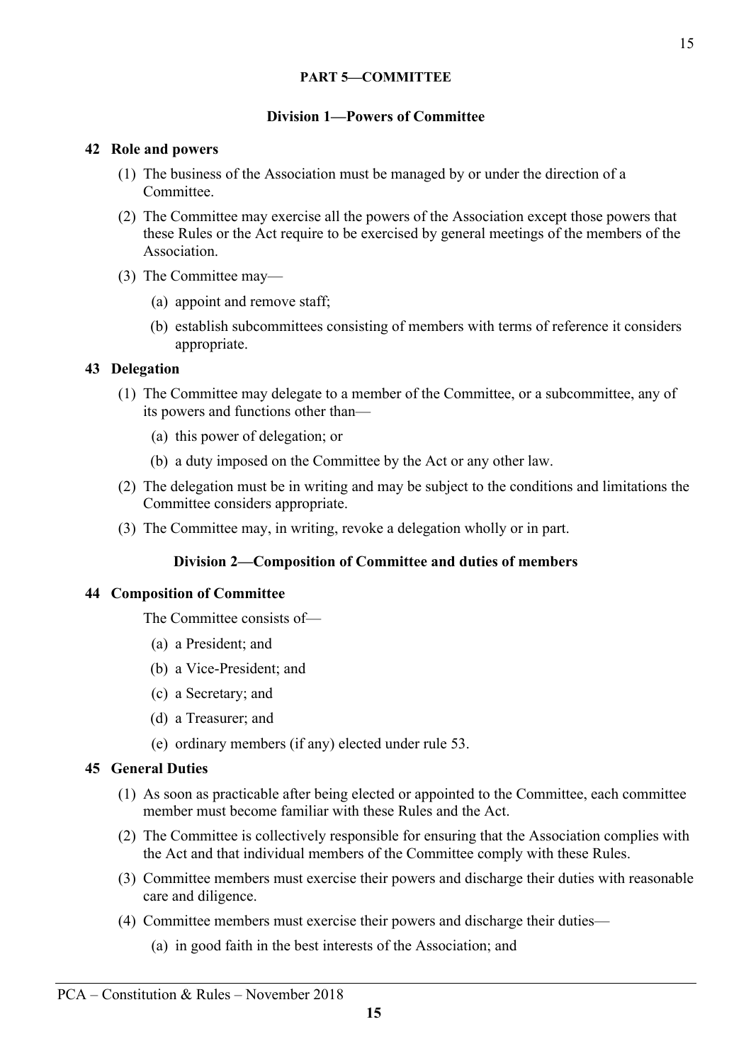# **PART 5—COMMITTEE**

### **Division 1—Powers of Committee**

### **42 Role and powers**

- (1) The business of the Association must be managed by or under the direction of a **Committee**
- (2) The Committee may exercise all the powers of the Association except those powers that these Rules or the Act require to be exercised by general meetings of the members of the Association.
- (3) The Committee may—
	- (a) appoint and remove staff;
	- (b) establish subcommittees consisting of members with terms of reference it considers appropriate.

# **43 Delegation**

- (1) The Committee may delegate to a member of the Committee, or a subcommittee, any of its powers and functions other than—
	- (a) this power of delegation; or
	- (b) a duty imposed on the Committee by the Act or any other law.
- (2) The delegation must be in writing and may be subject to the conditions and limitations the Committee considers appropriate.
- (3) The Committee may, in writing, revoke a delegation wholly or in part.

# **Division 2—Composition of Committee and duties of members**

### **44 Composition of Committee**

The Committee consists of—

- (a) a President; and
- (b) a Vice-President; and
- (c) a Secretary; and
- (d) a Treasurer; and
- (e) ordinary members (if any) elected under rule 53.

## **45 General Duties**

- (1) As soon as practicable after being elected or appointed to the Committee, each committee member must become familiar with these Rules and the Act.
- (2) The Committee is collectively responsible for ensuring that the Association complies with the Act and that individual members of the Committee comply with these Rules.
- (3) Committee members must exercise their powers and discharge their duties with reasonable care and diligence.
- (4) Committee members must exercise their powers and discharge their duties—
	- (a) in good faith in the best interests of the Association; and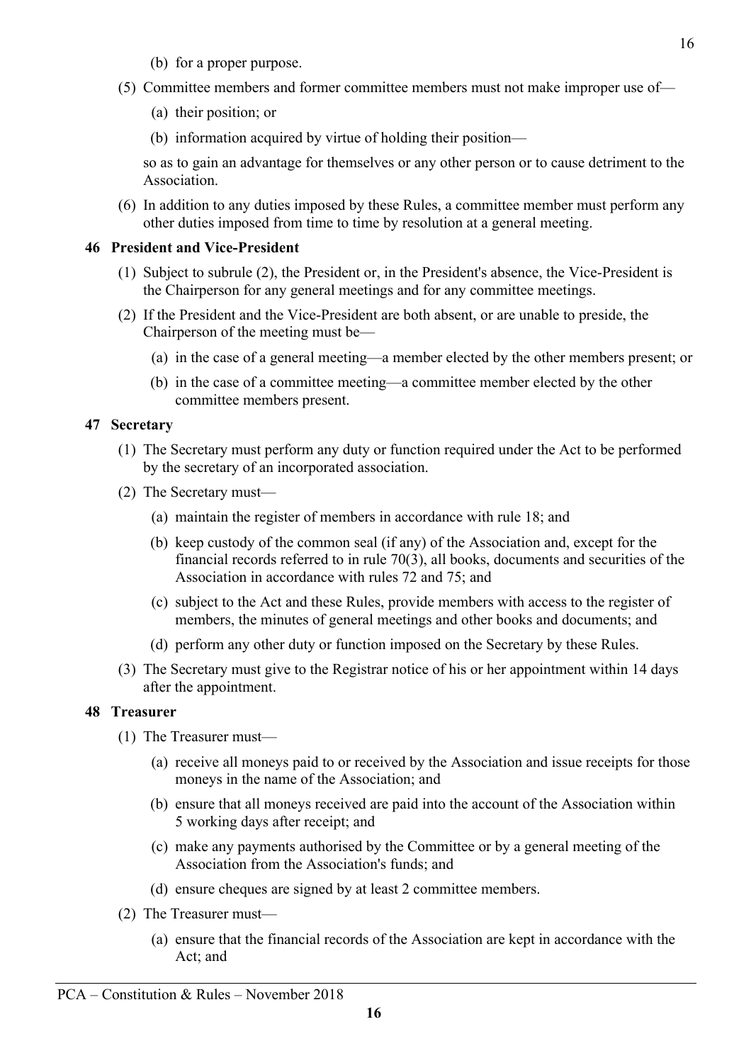- (b) for a proper purpose.
- (5) Committee members and former committee members must not make improper use of—
	- (a) their position; or
	- (b) information acquired by virtue of holding their position—

so as to gain an advantage for themselves or any other person or to cause detriment to the Association.

(6) In addition to any duties imposed by these Rules, a committee member must perform any other duties imposed from time to time by resolution at a general meeting.

### **46 President and Vice-President**

- (1) Subject to subrule (2), the President or, in the President's absence, the Vice-President is the Chairperson for any general meetings and for any committee meetings.
- (2) If the President and the Vice-President are both absent, or are unable to preside, the Chairperson of the meeting must be—
	- (a) in the case of a general meeting—a member elected by the other members present; or
	- (b) in the case of a committee meeting—a committee member elected by the other committee members present.

# **47 Secretary**

- (1) The Secretary must perform any duty or function required under the Act to be performed by the secretary of an incorporated association.
- (2) The Secretary must—
	- (a) maintain the register of members in accordance with rule 18; and
	- (b) keep custody of the common seal (if any) of the Association and, except for the financial records referred to in rule 70(3), all books, documents and securities of the Association in accordance with rules 72 and 75; and
	- (c) subject to the Act and these Rules, provide members with access to the register of members, the minutes of general meetings and other books and documents; and
	- (d) perform any other duty or function imposed on the Secretary by these Rules.
- (3) The Secretary must give to the Registrar notice of his or her appointment within 14 days after the appointment.

### **48 Treasurer**

- (1) The Treasurer must—
	- (a) receive all moneys paid to or received by the Association and issue receipts for those moneys in the name of the Association; and
	- (b) ensure that all moneys received are paid into the account of the Association within 5 working days after receipt; and
	- (c) make any payments authorised by the Committee or by a general meeting of the Association from the Association's funds; and
	- (d) ensure cheques are signed by at least 2 committee members.
- (2) The Treasurer must—
	- (a) ensure that the financial records of the Association are kept in accordance with the Act; and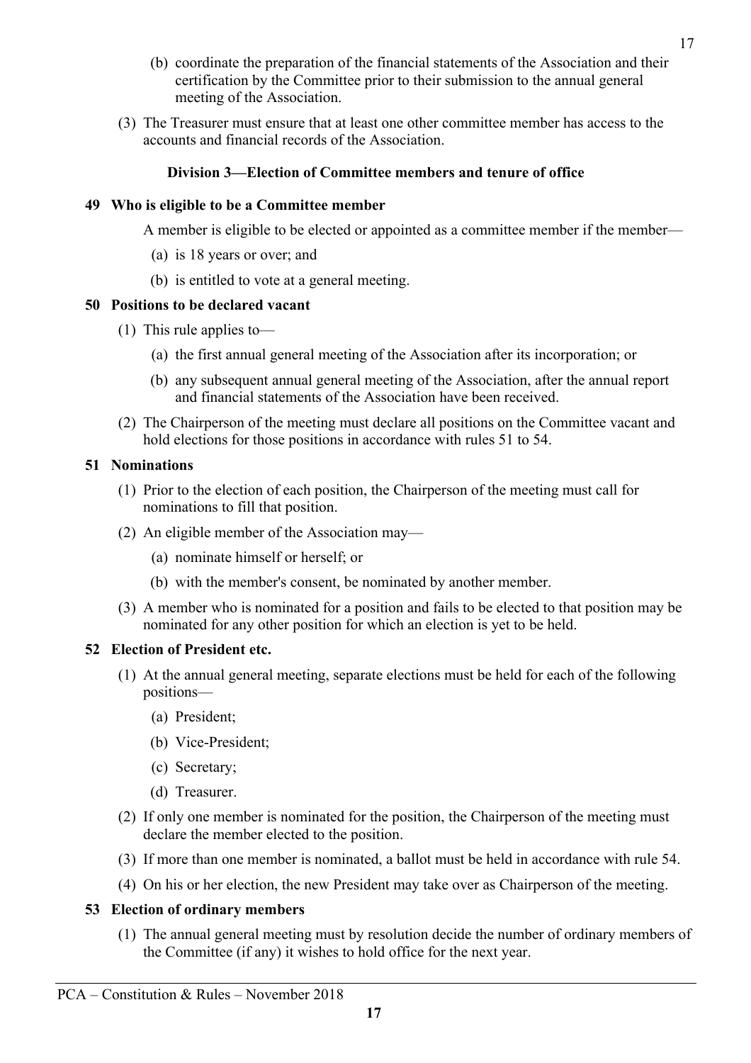- (b) coordinate the preparation of the financial statements of the Association and their certification by the Committee prior to their submission to the annual general meeting of the Association.
- (3) The Treasurer must ensure that at least one other committee member has access to the accounts and financial records of the Association.

# **Division 3—Election of Committee members and tenure of office**

# **49 Who is eligible to be a Committee member**

A member is eligible to be elected or appointed as a committee member if the member—

- (a) is 18 years or over; and
- (b) is entitled to vote at a general meeting.

# **50 Positions to be declared vacant**

- (1) This rule applies to—
	- (a) the first annual general meeting of the Association after its incorporation; or
	- (b) any subsequent annual general meeting of the Association, after the annual report and financial statements of the Association have been received.
- (2) The Chairperson of the meeting must declare all positions on the Committee vacant and hold elections for those positions in accordance with rules 51 to 54.

# **51 Nominations**

- (1) Prior to the election of each position, the Chairperson of the meeting must call for nominations to fill that position.
- (2) An eligible member of the Association may—
	- (a) nominate himself or herself; or
	- (b) with the member's consent, be nominated by another member.
- (3) A member who is nominated for a position and fails to be elected to that position may be nominated for any other position for which an election is yet to be held.

# **52 Election of President etc.**

- (1) At the annual general meeting, separate elections must be held for each of the following positions—
	- (a) President;
	- (b) Vice-President;
	- (c) Secretary;
	- (d) Treasurer.
- (2) If only one member is nominated for the position, the Chairperson of the meeting must declare the member elected to the position.
- (3) If more than one member is nominated, a ballot must be held in accordance with rule 54.
- (4) On his or her election, the new President may take over as Chairperson of the meeting.

# **53 Election of ordinary members**

(1) The annual general meeting must by resolution decide the number of ordinary members of the Committee (if any) it wishes to hold office for the next year.

17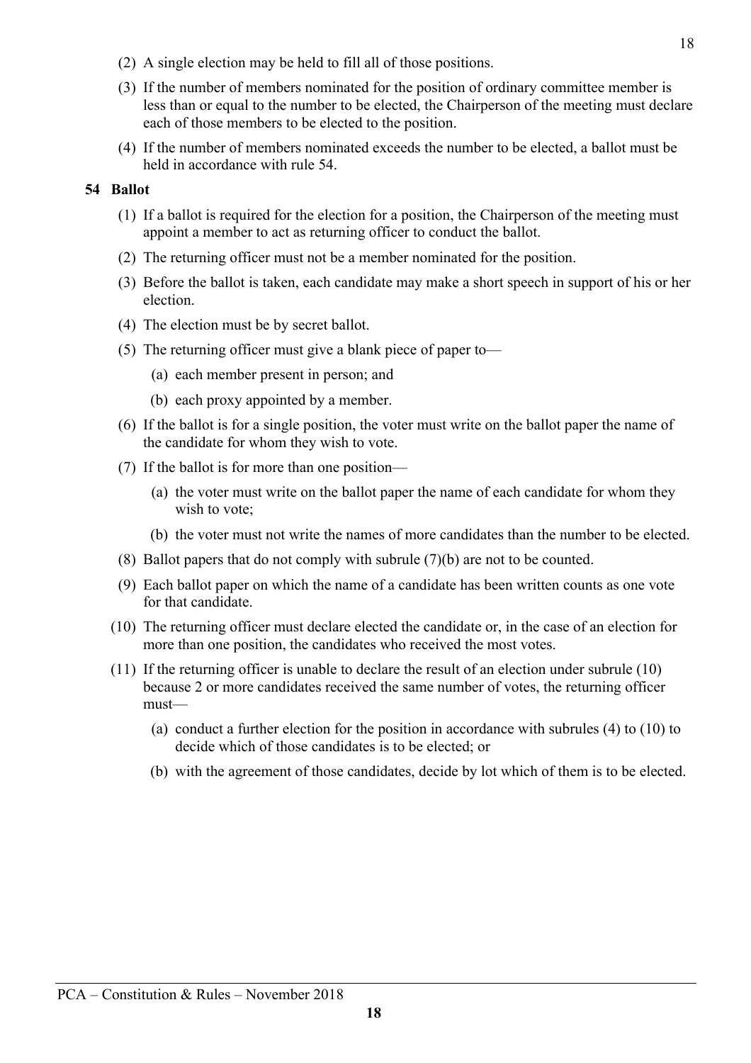- (2) A single election may be held to fill all of those positions.
- (3) If the number of members nominated for the position of ordinary committee member is less than or equal to the number to be elected, the Chairperson of the meeting must declare each of those members to be elected to the position.
- (4) If the number of members nominated exceeds the number to be elected, a ballot must be held in accordance with rule 54.

## **54 Ballot**

- (1) If a ballot is required for the election for a position, the Chairperson of the meeting must appoint a member to act as returning officer to conduct the ballot.
- (2) The returning officer must not be a member nominated for the position.
- (3) Before the ballot is taken, each candidate may make a short speech in support of his or her election.
- (4) The election must be by secret ballot.
- (5) The returning officer must give a blank piece of paper to—
	- (a) each member present in person; and
	- (b) each proxy appointed by a member.
- (6) If the ballot is for a single position, the voter must write on the ballot paper the name of the candidate for whom they wish to vote.
- (7) If the ballot is for more than one position—
	- (a) the voter must write on the ballot paper the name of each candidate for whom they wish to vote;
	- (b) the voter must not write the names of more candidates than the number to be elected.
- (8) Ballot papers that do not comply with subrule (7)(b) are not to be counted.
- (9) Each ballot paper on which the name of a candidate has been written counts as one vote for that candidate.
- (10) The returning officer must declare elected the candidate or, in the case of an election for more than one position, the candidates who received the most votes.
- (11) If the returning officer is unable to declare the result of an election under subrule (10) because 2 or more candidates received the same number of votes, the returning officer must—
	- (a) conduct a further election for the position in accordance with subrules (4) to (10) to decide which of those candidates is to be elected; or
	- (b) with the agreement of those candidates, decide by lot which of them is to be elected.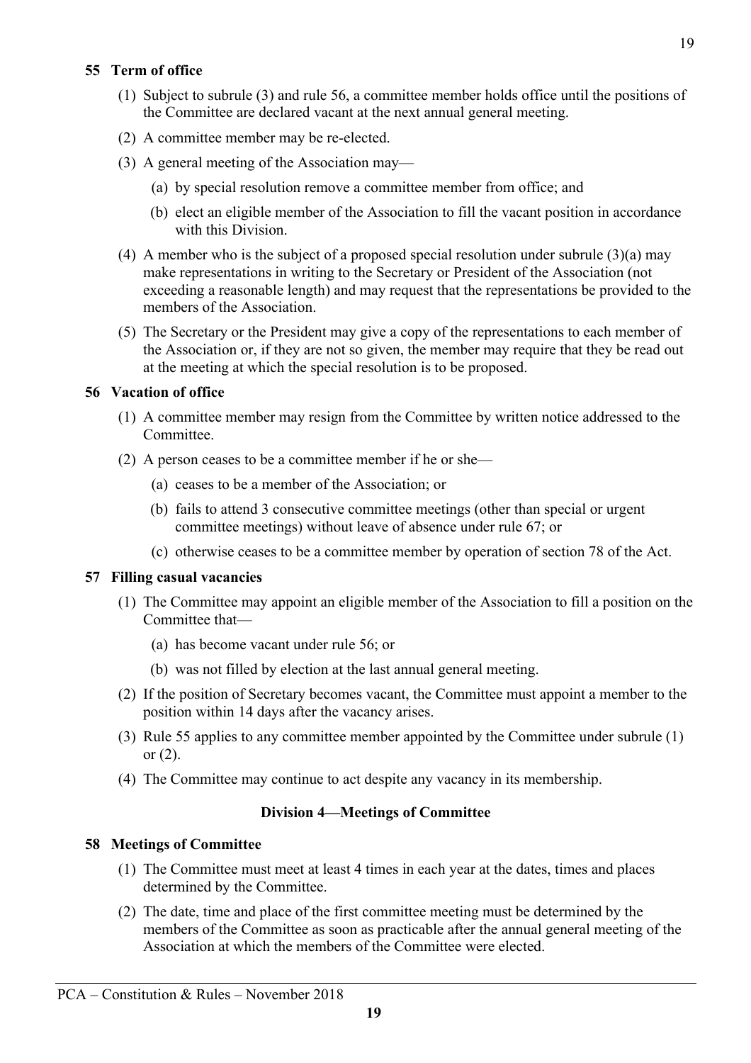# **55 Term of office**

- (1) Subject to subrule (3) and rule 56, a committee member holds office until the positions of the Committee are declared vacant at the next annual general meeting.
- (2) A committee member may be re-elected.
- (3) A general meeting of the Association may—
	- (a) by special resolution remove a committee member from office; and
	- (b) elect an eligible member of the Association to fill the vacant position in accordance with this Division
- (4) A member who is the subject of a proposed special resolution under subrule (3)(a) may make representations in writing to the Secretary or President of the Association (not exceeding a reasonable length) and may request that the representations be provided to the members of the Association.
- (5) The Secretary or the President may give a copy of the representations to each member of the Association or, if they are not so given, the member may require that they be read out at the meeting at which the special resolution is to be proposed.

# **56 Vacation of office**

- (1) A committee member may resign from the Committee by written notice addressed to the Committee.
- (2) A person ceases to be a committee member if he or she—
	- (a) ceases to be a member of the Association; or
	- (b) fails to attend 3 consecutive committee meetings (other than special or urgent committee meetings) without leave of absence under rule 67; or
	- (c) otherwise ceases to be a committee member by operation of section 78 of the Act.

# **57 Filling casual vacancies**

- (1) The Committee may appoint an eligible member of the Association to fill a position on the Committee that—
	- (a) has become vacant under rule 56; or
	- (b) was not filled by election at the last annual general meeting.
- (2) If the position of Secretary becomes vacant, the Committee must appoint a member to the position within 14 days after the vacancy arises.
- (3) Rule 55 applies to any committee member appointed by the Committee under subrule (1) or (2).
- (4) The Committee may continue to act despite any vacancy in its membership.

# **Division 4—Meetings of Committee**

# **58 Meetings of Committee**

- (1) The Committee must meet at least 4 times in each year at the dates, times and places determined by the Committee.
- (2) The date, time and place of the first committee meeting must be determined by the members of the Committee as soon as practicable after the annual general meeting of the Association at which the members of the Committee were elected.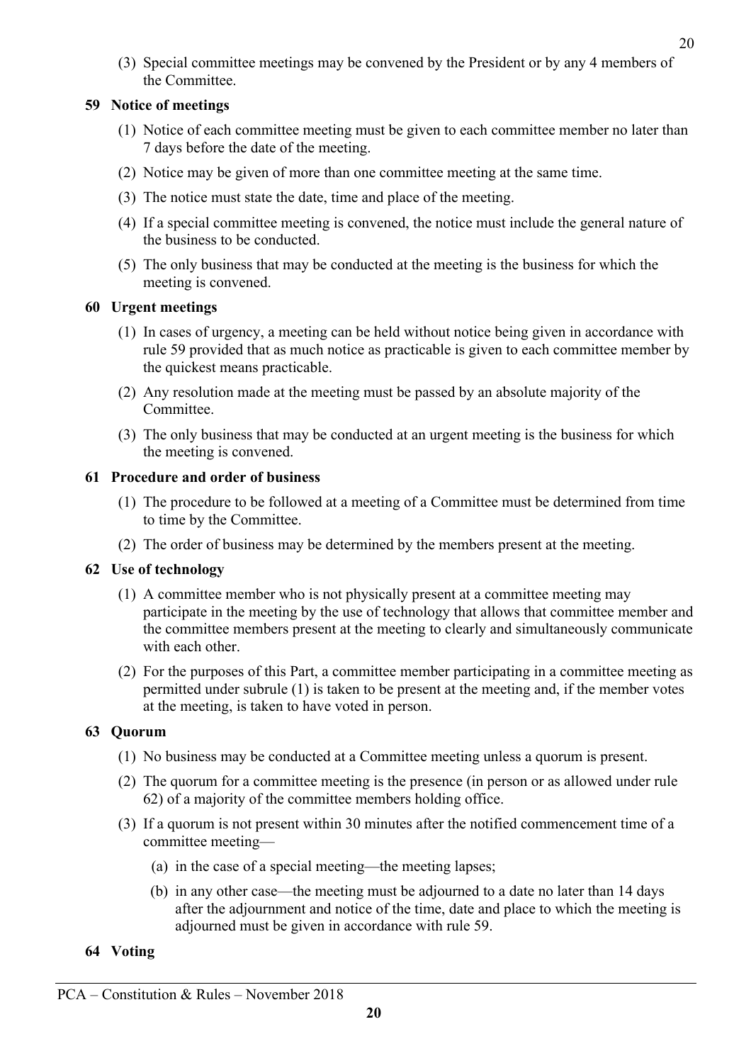(3) Special committee meetings may be convened by the President or by any 4 members of the Committee.

# **59 Notice of meetings**

- (1) Notice of each committee meeting must be given to each committee member no later than 7 days before the date of the meeting.
- (2) Notice may be given of more than one committee meeting at the same time.
- (3) The notice must state the date, time and place of the meeting.
- (4) If a special committee meeting is convened, the notice must include the general nature of the business to be conducted.
- (5) The only business that may be conducted at the meeting is the business for which the meeting is convened.

# **60 Urgent meetings**

- (1) In cases of urgency, a meeting can be held without notice being given in accordance with rule 59 provided that as much notice as practicable is given to each committee member by the quickest means practicable.
- (2) Any resolution made at the meeting must be passed by an absolute majority of the Committee.
- (3) The only business that may be conducted at an urgent meeting is the business for which the meeting is convened.

# **61 Procedure and order of business**

- (1) The procedure to be followed at a meeting of a Committee must be determined from time to time by the Committee.
- (2) The order of business may be determined by the members present at the meeting.

# **62 Use of technology**

- (1) A committee member who is not physically present at a committee meeting may participate in the meeting by the use of technology that allows that committee member and the committee members present at the meeting to clearly and simultaneously communicate with each other.
- (2) For the purposes of this Part, a committee member participating in a committee meeting as permitted under subrule (1) is taken to be present at the meeting and, if the member votes at the meeting, is taken to have voted in person.

# **63 Quorum**

- (1) No business may be conducted at a Committee meeting unless a quorum is present.
- (2) The quorum for a committee meeting is the presence (in person or as allowed under rule 62) of a majority of the committee members holding office.
- (3) If a quorum is not present within 30 minutes after the notified commencement time of a committee meeting—
	- (a) in the case of a special meeting—the meeting lapses;
	- (b) in any other case—the meeting must be adjourned to a date no later than 14 days after the adjournment and notice of the time, date and place to which the meeting is adjourned must be given in accordance with rule 59.

# **64 Voting**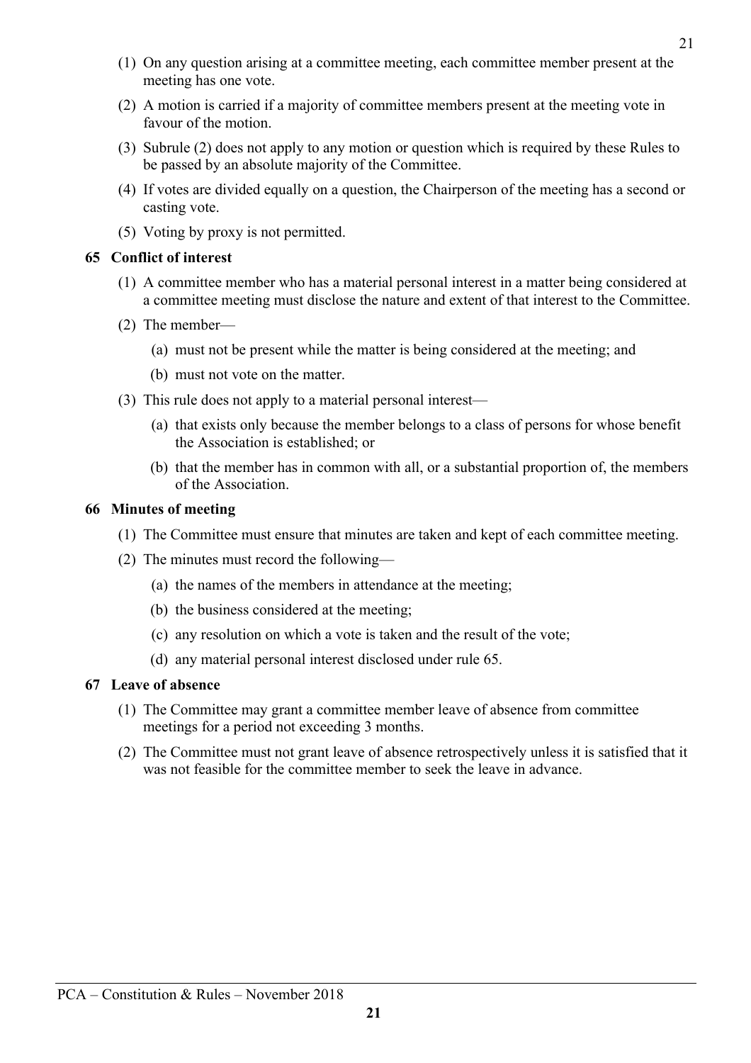- (1) On any question arising at a committee meeting, each committee member present at the meeting has one vote.
- (2) A motion is carried if a majority of committee members present at the meeting vote in favour of the motion.
- (3) Subrule (2) does not apply to any motion or question which is required by these Rules to be passed by an absolute majority of the Committee.
- (4) If votes are divided equally on a question, the Chairperson of the meeting has a second or casting vote.
- (5) Voting by proxy is not permitted.

# **65 Conflict of interest**

- (1) A committee member who has a material personal interest in a matter being considered at a committee meeting must disclose the nature and extent of that interest to the Committee.
- (2) The member—
	- (a) must not be present while the matter is being considered at the meeting; and
	- (b) must not vote on the matter.
- (3) This rule does not apply to a material personal interest—
	- (a) that exists only because the member belongs to a class of persons for whose benefit the Association is established; or
	- (b) that the member has in common with all, or a substantial proportion of, the members of the Association.

# **66 Minutes of meeting**

- (1) The Committee must ensure that minutes are taken and kept of each committee meeting.
- (2) The minutes must record the following—
	- (a) the names of the members in attendance at the meeting;
	- (b) the business considered at the meeting;
	- (c) any resolution on which a vote is taken and the result of the vote;
	- (d) any material personal interest disclosed under rule 65.

# **67 Leave of absence**

- (1) The Committee may grant a committee member leave of absence from committee meetings for a period not exceeding 3 months.
- (2) The Committee must not grant leave of absence retrospectively unless it is satisfied that it was not feasible for the committee member to seek the leave in advance.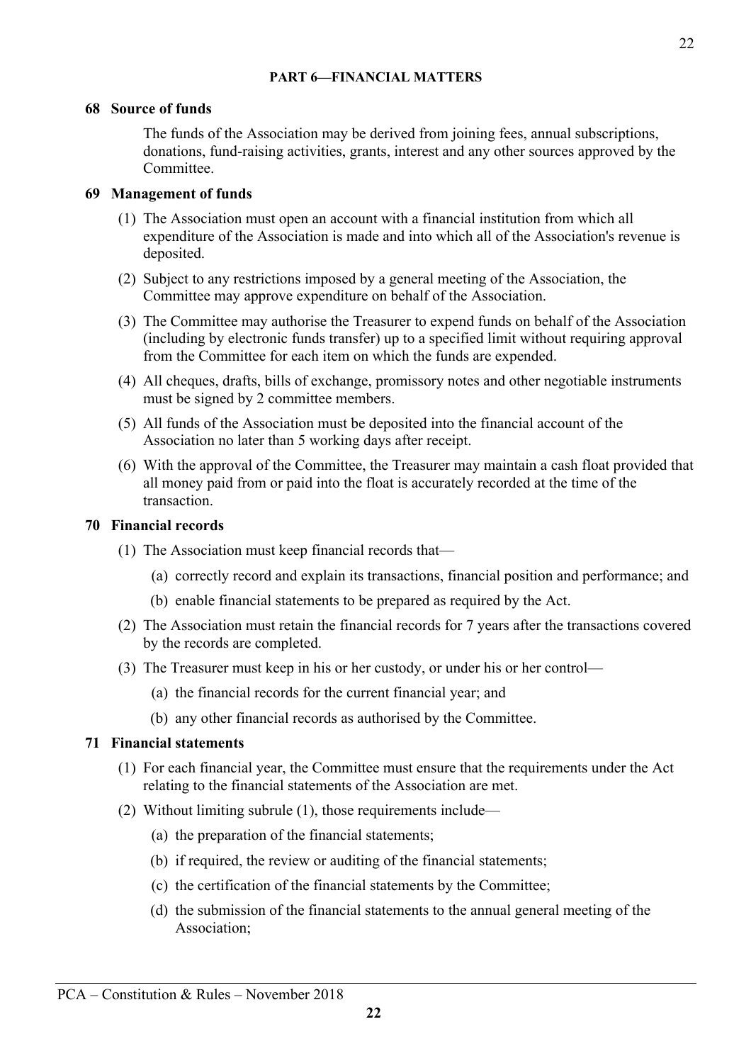# **PART 6—FINANCIAL MATTERS**

# 22

# **68 Source of funds**

The funds of the Association may be derived from joining fees, annual subscriptions, donations, fund-raising activities, grants, interest and any other sources approved by the Committee.

# **69 Management of funds**

- (1) The Association must open an account with a financial institution from which all expenditure of the Association is made and into which all of the Association's revenue is deposited.
- (2) Subject to any restrictions imposed by a general meeting of the Association, the Committee may approve expenditure on behalf of the Association.
- (3) The Committee may authorise the Treasurer to expend funds on behalf of the Association (including by electronic funds transfer) up to a specified limit without requiring approval from the Committee for each item on which the funds are expended.
- (4) All cheques, drafts, bills of exchange, promissory notes and other negotiable instruments must be signed by 2 committee members.
- (5) All funds of the Association must be deposited into the financial account of the Association no later than 5 working days after receipt.
- (6) With the approval of the Committee, the Treasurer may maintain a cash float provided that all money paid from or paid into the float is accurately recorded at the time of the transaction.

# **70 Financial records**

- (1) The Association must keep financial records that—
	- (a) correctly record and explain its transactions, financial position and performance; and
	- (b) enable financial statements to be prepared as required by the Act.
- (2) The Association must retain the financial records for 7 years after the transactions covered by the records are completed.
- (3) The Treasurer must keep in his or her custody, or under his or her control—
	- (a) the financial records for the current financial year; and
	- (b) any other financial records as authorised by the Committee.

# **71 Financial statements**

- (1) For each financial year, the Committee must ensure that the requirements under the Act relating to the financial statements of the Association are met.
- (2) Without limiting subrule (1), those requirements include—
	- (a) the preparation of the financial statements;
	- (b) if required, the review or auditing of the financial statements;
	- (c) the certification of the financial statements by the Committee;
	- (d) the submission of the financial statements to the annual general meeting of the Association;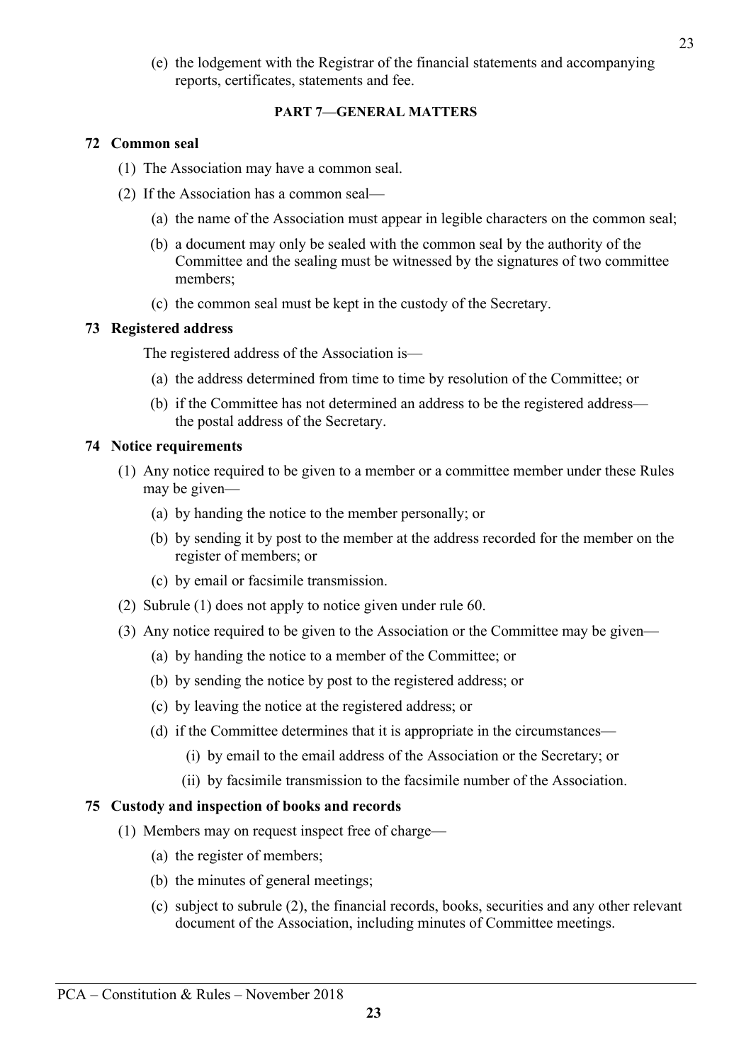(e) the lodgement with the Registrar of the financial statements and accompanying reports, certificates, statements and fee.

# **PART 7—GENERAL MATTERS**

# **72 Common seal**

- (1) The Association may have a common seal.
- (2) If the Association has a common seal—
	- (a) the name of the Association must appear in legible characters on the common seal;
	- (b) a document may only be sealed with the common seal by the authority of the Committee and the sealing must be witnessed by the signatures of two committee members;
	- (c) the common seal must be kept in the custody of the Secretary.

# **73 Registered address**

The registered address of the Association is—

- (a) the address determined from time to time by resolution of the Committee; or
- (b) if the Committee has not determined an address to be the registered address the postal address of the Secretary.

# **74 Notice requirements**

- (1) Any notice required to be given to a member or a committee member under these Rules may be given—
	- (a) by handing the notice to the member personally; or
	- (b) by sending it by post to the member at the address recorded for the member on the register of members; or
	- (c) by email or facsimile transmission.
- (2) Subrule (1) does not apply to notice given under rule 60.
- (3) Any notice required to be given to the Association or the Committee may be given—
	- (a) by handing the notice to a member of the Committee; or
	- (b) by sending the notice by post to the registered address; or
	- (c) by leaving the notice at the registered address; or
	- (d) if the Committee determines that it is appropriate in the circumstances—
		- (i) by email to the email address of the Association or the Secretary; or
		- (ii) by facsimile transmission to the facsimile number of the Association.

### **75 Custody and inspection of books and records**

- (1) Members may on request inspect free of charge—
	- (a) the register of members;
	- (b) the minutes of general meetings;
	- (c) subject to subrule (2), the financial records, books, securities and any other relevant document of the Association, including minutes of Committee meetings.

23